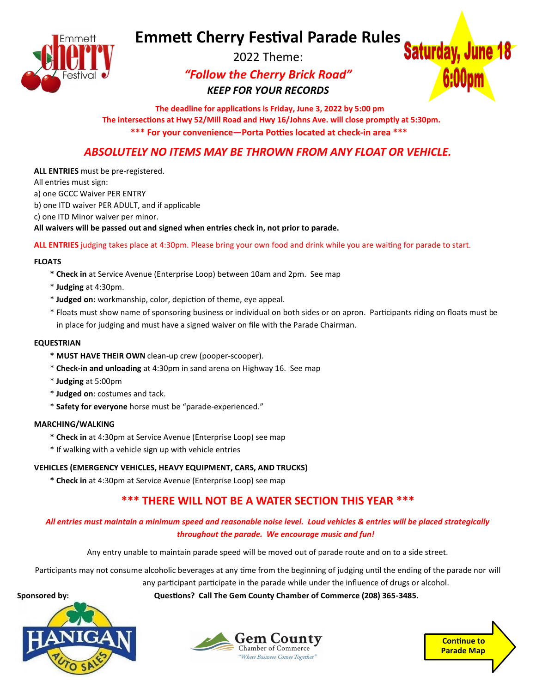# **Emmett Cherry Festival Parade Rules**



2022 Theme:

# *"Follow the Cherry Brick Road" KEEP FOR YOUR RECORDS*



 **The deadline for applications is Friday, June 3, 2022 by 5:00 pm The intersections at Hwy 52/Mill Road and Hwy 16/Johns Ave. will close promptly at 5:30pm. \*\*\* For your convenience—Porta Potties located at check-in area \*\*\***

## *ABSOLUTELY NO ITEMS MAY BE THROWN FROM ANY FLOAT OR VEHICLE.*

**ALL ENTRIES** must be pre-registered.

All entries must sign:

a) one GCCC Waiver PER ENTRY

- b) one ITD waiver PER ADULT, and if applicable
- c) one ITD Minor waiver per minor.

**All waivers will be passed out and signed when entries check in, not prior to parade.**

**ALL ENTRIES** judging takes place at 4:30pm. Please bring your own food and drink while you are waiting for parade to start.

#### **FLOATS**

- **\* Check in** at Service Avenue (Enterprise Loop) between 10am and 2pm. See map
- \* **Judging** at 4:30pm.
- \* **Judged on:** workmanship, color, depiction of theme, eye appeal.
- \* Floats must show name of sponsoring business or individual on both sides or on apron. Participants riding on floats must be in place for judging and must have a signed waiver on file with the Parade Chairman.

#### **EQUESTRIAN**

- **\* MUST HAVE THEIR OWN** clean-up crew (pooper-scooper).
- \* **Check-in and unloading** at 4:30pm in sand arena on Highway 16. See map
- \* **Judging** at 5:00pm
- \* **Judged on**: costumes and tack.
- \* **Safety for everyone** horse must be "parade-experienced."

#### **MARCHING/WALKING**

- **\* Check in** at 4:30pm at Service Avenue (Enterprise Loop) see map
- \* If walking with a vehicle sign up with vehicle entries

#### **VEHICLES (EMERGENCY VEHICLES, HEAVY EQUIPMENT, CARS, AND TRUCKS)**

**\* Check in** at 4:30pm at Service Avenue (Enterprise Loop) see map

## **\*\*\* THERE WILL NOT BE A WATER SECTION THIS YEAR \*\*\***

#### *All entries must maintain a minimum speed and reasonable noise level. Loud vehicles & entries will be placed strategically throughout the parade. We encourage music and fun!*

Any entry unable to maintain parade speed will be moved out of parade route and on to a side street.

Participants may not consume alcoholic beverages at any time from the beginning of judging until the ending of the parade nor will

any participant participate in the parade while under the influence of drugs or alcohol.

**Sponsored by:**